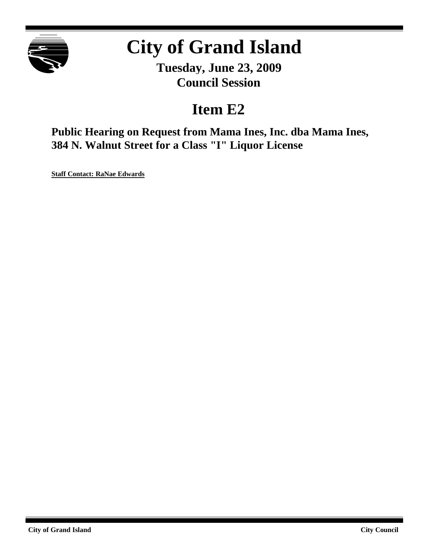

# **City of Grand Island**

**Tuesday, June 23, 2009 Council Session**

## **Item E2**

**Public Hearing on Request from Mama Ines, Inc. dba Mama Ines, 384 N. Walnut Street for a Class "I" Liquor License**

**Staff Contact: RaNae Edwards**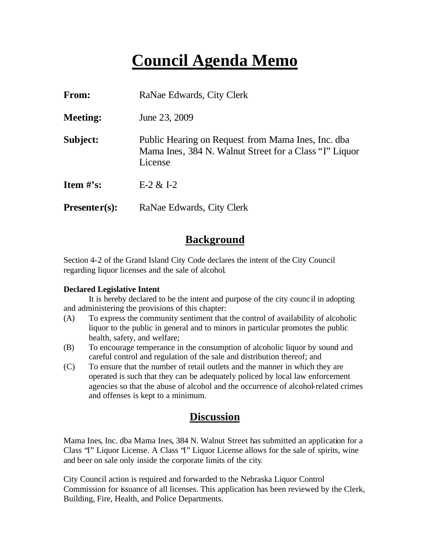# **Council Agenda Memo**

| From:                          | RaNae Edwards, City Clerk                                                                                               |
|--------------------------------|-------------------------------------------------------------------------------------------------------------------------|
| <b>Meeting:</b>                | June 23, 2009                                                                                                           |
| Subject:                       | Public Hearing on Request from Mama Ines, Inc. dba<br>Mama Ines, 384 N. Walnut Street for a Class "I" Liquor<br>License |
| <b>Item <math>\#</math>'s:</b> | $E-2 & 1-2$                                                                                                             |
| $Presenter(s):$                | RaNae Edwards, City Clerk                                                                                               |

#### **Background**

Section 4-2 of the Grand Island City Code declares the intent of the City Council regarding liquor licenses and the sale of alcohol.

#### **Declared Legislative Intent**

It is hereby declared to be the intent and purpose of the city counc il in adopting and administering the provisions of this chapter:

- (A) To express the community sentiment that the control of availability of alcoholic liquor to the public in general and to minors in particular promotes the public health, safety, and welfare;
- (B) To encourage temperance in the consumption of alcoholic liquor by sound and careful control and regulation of the sale and distribution thereof; and
- (C) To ensure that the number of retail outlets and the manner in which they are operated is such that they can be adequately policed by local law enforcement agencies so that the abuse of alcohol and the occurrence of alcohol-related crimes and offenses is kept to a minimum.

#### **Discussion**

Mama Ines, Inc. dba Mama Ines, 384 N. Walnut Street has submitted an application for a Class "I" Liquor License. A Class "I" Liquor License allows for the sale of spirits, wine and beer on sale only inside the corporate limits of the city.

City Council action is required and forwarded to the Nebraska Liquor Control Commission for issuance of all licenses. This application has been reviewed by the Clerk, Building, Fire, Health, and Police Departments.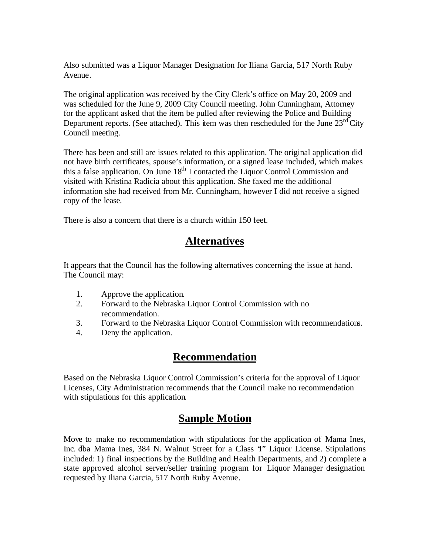Also submitted was a Liquor Manager Designation for Iliana Garcia, 517 North Ruby Avenue.

The original application was received by the City Clerk's office on May 20, 2009 and was scheduled for the June 9, 2009 City Council meeting. John Cunningham, Attorney for the applicant asked that the item be pulled after reviewing the Police and Building Department reports. (See attached). This item was then rescheduled for the June  $23<sup>rd</sup>$  City Council meeting.

There has been and still are issues related to this application. The original application did not have birth certificates, spouse's information, or a signed lease included, which makes this a false application. On June  $18<sup>th</sup>$  I contacted the Liquor Control Commission and visited with Kristina Radicia about this application. She faxed me the additional information she had received from Mr. Cunningham, however I did not receive a signed copy of the lease.

There is also a concern that there is a church within 150 feet.

### **Alternatives**

It appears that the Council has the following alternatives concerning the issue at hand. The Council may:

- 1. Approve the application.
- 2. Forward to the Nebraska Liquor Control Commission with no recommendation.
- 3. Forward to the Nebraska Liquor Control Commission with recommendations.
- 4. Deny the application.

### **Recommendation**

Based on the Nebraska Liquor Control Commission's criteria for the approval of Liquor Licenses, City Administration recommends that the Council make no recommendation with stipulations for this application.

### **Sample Motion**

Move to make no recommendation with stipulations for the application of Mama Ines, Inc. dba Mama Ines, 384 N. Walnut Street for a Class "I" Liquor License. Stipulations included: 1) final inspections by the Building and Health Departments, and 2) complete a state approved alcohol server/seller training program for Liquor Manager designation requested by Iliana Garcia, 517 North Ruby Avenue.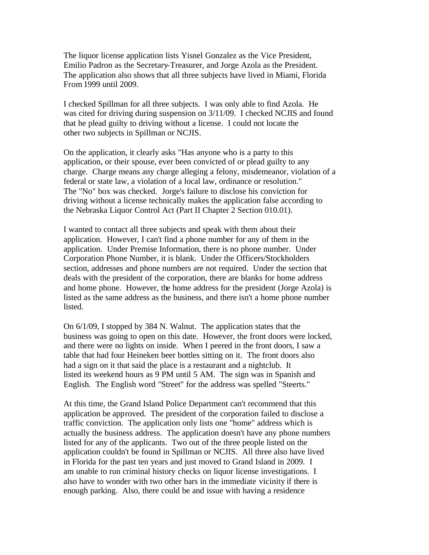The liquor license application lists Yisnel Gonzalez as the Vice President, Emilio Padron as the Secretary-Treasurer, and Jorge Azola as the President. The application also shows that all three subjects have lived in Miami, Florida From 1999 until 2009.

I checked Spillman for all three subjects. I was only able to find Azola. He was cited for driving during suspension on 3/11/09. I checked NCJIS and found that he plead guilty to driving without a license. I could not locate the other two subjects in Spillman or NCJIS.

On the application, it clearly asks "Has anyone who is a party to this application, or their spouse, ever been convicted of or plead guilty to any charge. Charge means any charge alleging a felony, misdemeanor, violation of a federal or state law, a violation of a local law, ordinance or resolution." The "No" box was checked. Jorge's failure to disclose his conviction for driving without a license technically makes the application false according to the Nebraska Liquor Control Act (Part II Chapter 2 Section 010.01).

I wanted to contact all three subjects and speak with them about their application. However, I can't find a phone number for any of them in the application. Under Premise Information, there is no phone number. Under Corporation Phone Number, it is blank. Under the Officers/Stockholders section, addresses and phone numbers are not required. Under the section that deals with the president of the corporation, there are blanks for home address and home phone. However, the home address for the president (Jorge Azola) is listed as the same address as the business, and there isn't a home phone number listed.

On 6/1/09, I stopped by 384 N. Walnut. The application states that the business was going to open on this date. However, the front doors were locked, and there were no lights on inside. When I peered in the front doors, I saw a table that had four Heineken beer bottles sitting on it. The front doors also had a sign on it that said the place is a restaurant and a nightclub. It listed its weekend hours as 9 PM until 5 AM. The sign was in Spanish and English. The English word "Street" for the address was spelled "Steerts."

At this time, the Grand Island Police Department can't recommend that this application be approved. The president of the corporation failed to disclose a traffic conviction. The application only lists one "home" address which is actually the business address. The application doesn't have any phone numbers listed for any of the applicants. Two out of the three people listed on the application couldn't be found in Spillman or NCJIS. All three also have lived in Florida for the past ten years and just moved to Grand Island in 2009. I am unable to run criminal history checks on liquor license investigations. I also have to wonder with two other bars in the immediate vicinity if there is enough parking. Also, there could be and issue with having a residence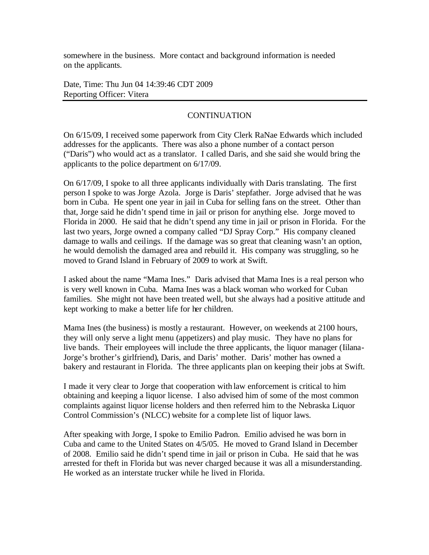somewhere in the business. More contact and background information is needed on the applicants.

Date, Time: Thu Jun 04 14:39:46 CDT 2009 Reporting Officer: Vitera

#### **CONTINUATION**

On 6/15/09, I received some paperwork from City Clerk RaNae Edwards which included addresses for the applicants. There was also a phone number of a contact person ("Daris") who would act as a translator. I called Daris, and she said she would bring the applicants to the police department on 6/17/09.

On 6/17/09, I spoke to all three applicants individually with Daris translating. The first person I spoke to was Jorge Azola. Jorge is Daris' stepfather. Jorge advised that he was born in Cuba. He spent one year in jail in Cuba for selling fans on the street. Other than that, Jorge said he didn't spend time in jail or prison for anything else. Jorge moved to Florida in 2000. He said that he didn't spend any time in jail or prison in Florida. For the last two years, Jorge owned a company called "DJ Spray Corp." His company cleaned damage to walls and ceilings. If the damage was so great that cleaning wasn't an option, he would demolish the damaged area and rebuild it. His company was struggling, so he moved to Grand Island in February of 2009 to work at Swift.

I asked about the name "Mama Ines." Daris advised that Mama Ines is a real person who is very well known in Cuba. Mama Ines was a black woman who worked for Cuban families. She might not have been treated well, but she always had a positive attitude and kept working to make a better life for her children.

Mama Ines (the business) is mostly a restaurant. However, on weekends at 2100 hours, they will only serve a light menu (appetizers) and play music. They have no plans for live bands. Their employees will include the three applicants, the liquor manager (Iilana-Jorge's brother's girlfriend), Daris, and Daris' mother. Daris' mother has owned a bakery and restaurant in Florida. The three applicants plan on keeping their jobs at Swift.

I made it very clear to Jorge that cooperation with law enforcement is critical to him obtaining and keeping a liquor license. I also advised him of some of the most common complaints against liquor license holders and then referred him to the Nebraska Liquor Control Commission's (NLCC) website for a complete list of liquor laws.

After speaking with Jorge, I spoke to Emilio Padron. Emilio advised he was born in Cuba and came to the United States on 4/5/05. He moved to Grand Island in December of 2008. Emilio said he didn't spend time in jail or prison in Cuba. He said that he was arrested for theft in Florida but was never charged because it was all a misunderstanding. He worked as an interstate trucker while he lived in Florida.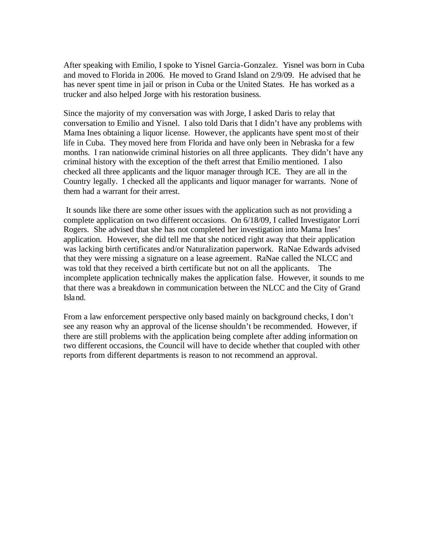After speaking with Emilio, I spoke to Yisnel Garcia-Gonzalez. Yisnel was born in Cuba and moved to Florida in 2006. He moved to Grand Island on 2/9/09. He advised that he has never spent time in jail or prison in Cuba or the United States. He has worked as a trucker and also helped Jorge with his restoration business.

Since the majority of my conversation was with Jorge, I asked Daris to relay that conversation to Emilio and Yisnel. I also told Daris that I didn't have any problems with Mama Ines obtaining a liquor license. However, the applicants have spent most of their life in Cuba. They moved here from Florida and have only been in Nebraska for a few months. I ran nationwide criminal histories on all three applicants. They didn't have any criminal history with the exception of the theft arrest that Emilio mentioned. I also checked all three applicants and the liquor manager through ICE. They are all in the Country legally. I checked all the applicants and liquor manager for warrants. None of them had a warrant for their arrest.

 It sounds like there are some other issues with the application such as not providing a complete application on two different occasions. On 6/18/09, I called Investigator Lorri Rogers. She advised that she has not completed her investigation into Mama Ines' application. However, she did tell me that she noticed right away that their application was lacking birth certificates and/or Naturalization paperwork. RaNae Edwards advised that they were missing a signature on a lease agreement. RaNae called the NLCC and was told that they received a birth certificate but not on all the applicants. The incomplete application technically makes the application false. However, it sounds to me that there was a breakdown in communication between the NLCC and the City of Grand Island.

From a law enforcement perspective only based mainly on background checks, I don't see any reason why an approval of the license shouldn't be recommended. However, if there are still problems with the application being complete after adding information on two different occasions, the Council will have to decide whether that coupled with other reports from different departments is reason to not recommend an approval.